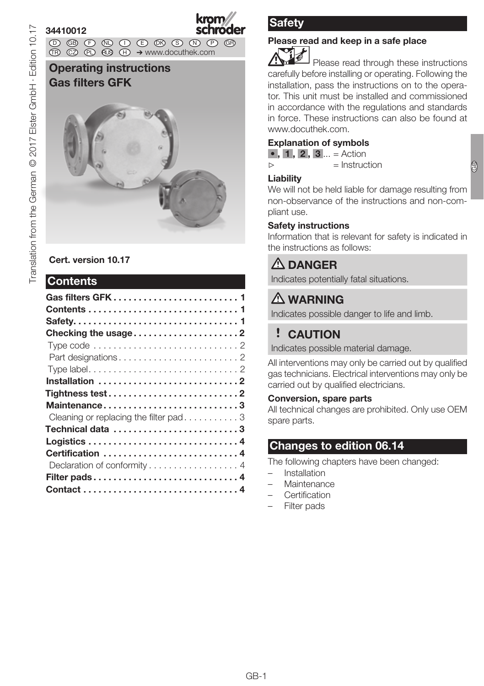### 34410012

krom

D GB ED ND ED ED OB GD (N) ED GB<br>nD © © © ® ⊕ → www.docuthek.com TR CZ PL RUS H

### Operating instructions Gas filters GFK



### Cert. version 10.17

### Contents

| Installation 2                                                              |  |
|-----------------------------------------------------------------------------|--|
| $Tightness test. \ldots \ldots \ldots \ldots \ldots \ldots \ldots \ldots 2$ |  |
| Maintenance3                                                                |  |
| Cleaning or replacing the filter pad $\ldots \ldots \ldots$                 |  |
|                                                                             |  |
|                                                                             |  |
| Certification 4                                                             |  |
| Declaration of conformity 4                                                 |  |
| Filter pads4                                                                |  |
|                                                                             |  |
|                                                                             |  |

## **Safety**

# Please read and keep in a safe place

 Please read through these instructions carefully before installing or operating. Following the installation, pass the instructions on to the operator. This unit must be installed and commissioned in accordance with the regulations and standards in force. These instructions can also be found at www.docuthek.com.

### Explanation of symbols

•  $, 1, 2, 3...$  = Action

▷ = Instruction

#### **Liability**

We will not be held liable for damage resulting from non-observance of the instructions and non-compliant use.

### Safety instructions

Information that is relevant for safety is indicated in the instructions as follows:

# **A** DANGER

Indicates potentially fatal situations.

# A WARNING

Indicates possible danger to life and limb.

# ! CAUTION

Indicates possible material damage.

All interventions may only be carried out by qualified gas technicians. Electrical interventions may only be carried out by qualified electricians.

### Conversion, spare parts

All technical changes are prohibited. Only use OEM spare parts.

### Changes to edition 06.14

The following chapters have been changed:

- **Installation**
- **Maintenance**
- **Certification**
- Filter pads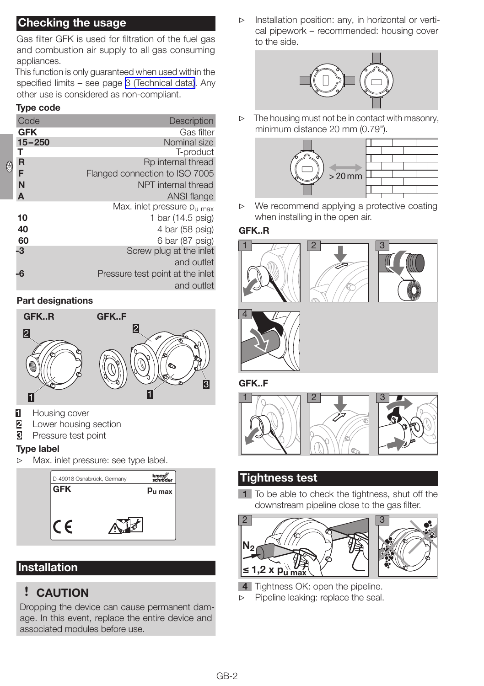### <span id="page-1-0"></span>Checking the usage

Gas filter GFK is used for filtration of the fuel gas and combustion air supply to all gas consuming appliances.

This function is only guaranteed when used within the specified limits – see page [3 \(Technical data\)](#page-2-1). Any other use is considered as non-compliant.

#### Type code

|     | Code       |                                  |
|-----|------------|----------------------------------|
|     |            | <b>Description</b>               |
|     | <b>GFK</b> | Gas filter                       |
|     | $15 - 250$ | Nominal size                     |
|     |            | T-product                        |
| ලිව | R          | Rp internal thread               |
|     | F          | Flanged connection to ISO 7005   |
|     | N          | NPT internal thread              |
|     | A          | ANSI flange                      |
|     |            | Max. inlet pressure $p_{11,max}$ |
|     | 10         | 1 bar (14.5 psig)                |
|     | 40         | 4 bar (58 psig)                  |
|     | 60         | 6 bar (87 psig)                  |
|     | -3         | Screw plug at the inlet          |
|     |            | and outlet                       |
|     | -6         | Pressure test point at the inlet |
|     |            | and outlet                       |

#### <span id="page-1-1"></span>Part designations



- **1** Housing cover
- 2 Lower housing section<br>3 Pressure test point
- Pressure test point

#### Type label

▷ Max. inlet pressure: see type label.



### Installation

### ! CAUTION

Dropping the device can cause permanent damage. In this event, replace the entire device and associated modules before use.

▷ Installation position: any, in horizontal or vertical pipework – recommended: housing cover to the side.



 $\triangleright$  The housing must not be in contact with masonry, minimum distance 20 mm (0.79").



▷ We recommend applying a protective coating when installing in the open air.

#### GFK..R







GFK..F



### Tightness test

1 To be able to check the tightness, shut off the downstream pipeline close to the gas filter.



- 4 Tightness OK: open the pipeline.
- ▷ Pipeline leaking: replace the seal.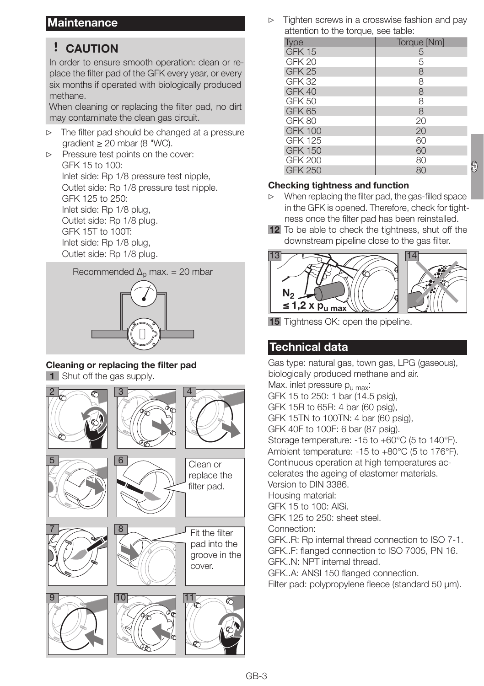### <span id="page-2-0"></span>**Maintenance**

## ! CAUTION

In order to ensure smooth operation: clean or replace the filter pad of the GFK every year, or every six months if operated with biologically produced methane.

When cleaning or replacing the filter pad, no dirt may contaminate the clean gas circuit.

▷ The filter pad should be changed at a pressure  $\alpha$ radient  $\geq 20$  mbar (8 "WC).

▷ Pressure test points on the cover: GFK 15 to 100: Inlet side: Rp 1/8 pressure test nipple, Outlet side: Rp 1/8 pressure test nipple. GFK 125 to 250: Inlet side: Rp 1/8 plug, Outlet side: Rp 1/8 plug. GFK 15T to 100T: Inlet side: Rp 1/8 plug, Outlet side: Rp 1/8 plug.



#### Cleaning or replacing the filter pad

1 Shut off the gas supply.



Tighten screws in a crosswise fashion and pay attention to the torque, see table:

| <b>Type</b>       | Torque [Nm] |
|-------------------|-------------|
| GFK 15            | 5           |
| GFK <sub>20</sub> | 5           |
| GFK <sub>25</sub> | 8           |
| <b>GFK 32</b>     | 8           |
| GFK 40            | 8           |
| <b>GFK 50</b>     | 8           |
| GFK 65            | 8           |
| GFK 80            | 20          |
| <b>GFK 100</b>    | 20          |
| <b>GFK 125</b>    | 60          |
| <b>GFK 150</b>    | 60          |
| <b>GFK 200</b>    | 80          |
| <b>GFK 250</b>    | 80          |

#### Checking tightness and function

▷ When replacing the filter pad, the gas-filled space in the GFK is opened. Therefore, check for tightness once the filter pad has been reinstalled.

 $\circledS$ 

12 To be able to check the tightness, shut off the downstream pipeline close to the gas filter.



15 Tightness OK: open the pipeline.

### <span id="page-2-1"></span>Technical data

Gas type: natural gas, town gas, LPG (gaseous), biologically produced methane and air. Max. inlet pressure  $p_{\text{u max}}$ : GFK 15 to 250: 1 bar (14.5 psig), GFK 15R to 65R: 4 bar (60 psig), GFK 15TN to 100TN: 4 bar (60 psig), GFK 40F to 100F: 6 bar (87 psig). Storage temperature: -15 to +60°C (5 to 140°F). Ambient temperature: -15 to +80°C (5 to 176°F). Continuous operation at high temperatures accelerates the ageing of elastomer materials. Version to DIN 3386. Housing material: GFK 15 to 100: AlSi. GFK 125 to 250: sheet steel. Connection: GFK..R: Rp internal thread connection to ISO 7-1. GFK..F: flanged connection to ISO 7005, PN 16. GFK..N: NPT internal thread. GFK..A: ANSI 150 flanged connection. Filter pad: polypropylene fleece (standard 50 μm).